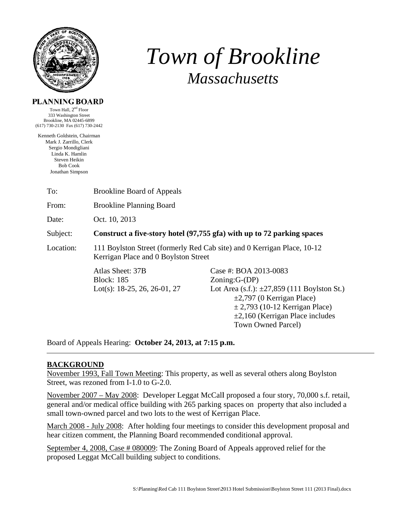

# *T Tow wn of f Bro ookli ine Massachusetts*

### **PL LANNING BOARD**

( 617) 730-2130 Fax (617) 730-2442 Town Hall,  $2<sup>nd</sup>$  Floor 333 Washington Street Brookline, MA 0 02445-6899

Kenneth Goldstei n, Chairman Mark J. Zarril lo, Clerk Sergio Mondigliani Linda K. H Hamlin Steven Heikin Bob Co ok Jonathan Si mpson

From: Brookline Planning Board

Date: Oct. 1 10, 2013

#### Subject: **Construct a five-story hotel (97,755 gfa) with up to 72 parking spaces**

Location: n: 111 Boylston Street (formerly Red Cab site) and 0 Kerrigan Place, 10-12 Kerrigan Place and 0 Boylston Street

> Atlas Sheet: 37B Block: 185 Lot(s): 18-25, 26, 26-01, 27

Case #: BOA 2013-0083 Zoning:G-(DP) Lot Area (s.f.):  $\pm 27,859$  (111 Boylston St.)  $\pm 2,797$  (0 Kerrigan Place)  $\pm$  2,793 (10-12 Kerrigan Place)  $\pm 2,160$  (Kerrigan Place includes Town Owned Parcel) s<br>nn<br>retail,

Board of Appeals Hearing: October 24, 2013, at 7:15 p.m.

# **BACKG GROUND**

November 1993, Fall Town Meeting: This property, as well as several others along Boylston Street, was rezoned from I-1.0 to G-2.0.

November 2007 – May 2008: Developer Leggat McCall proposed a four story, 70,000 s.f. r general and/or medical office building with 265 parking spaces on property that also included a small town-owned parcel and two lots to the west of Kerrigan Place.

March 2008 - July 2008: After holding four meetings to consider this development proposal and hear citizen comment, the Planning Board recommended conditional approval.

September 4, 2008, Case # 080009: The Zoning Board of Appeals approved relief for the proposed Leggat McCall building subject to conditions.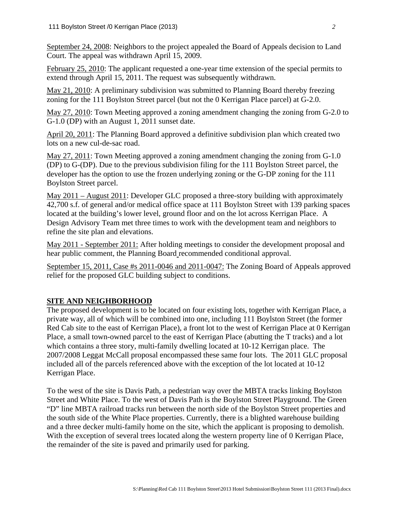September 24, 2008: Neighbors to the project appealed the Board of Appeals decision to Land Court. The appeal was withdrawn April 15, 2009.

February 25, 2010: The applicant requested a one-year time extension of the special permits to extend through April 15, 2011. The request was subsequently withdrawn.

May 21, 2010: A preliminary subdivision was submitted to Planning Board thereby freezing zoning for the 111 Boylston Street parcel (but not the 0 Kerrigan Place parcel) at G-2.0.

May 27, 2010: Town Meeting approved a zoning amendment changing the zoning from G-2.0 to G-1.0 (DP) with an August 1, 2011 sunset date.

April 20, 2011: The Planning Board approved a definitive subdivision plan which created two lots on a new cul-de-sac road.

May 27, 2011: Town Meeting approved a zoning amendment changing the zoning from G-1.0 (DP) to G-(DP). Due to the previous subdivision filing for the 111 Boylston Street parcel, the developer has the option to use the frozen underlying zoning or the G-DP zoning for the 111 Boylston Street parcel.

May 2011 – August 2011: Developer GLC proposed a three-story building with approximately 42,700 s.f. of general and/or medical office space at 111 Boylston Street with 139 parking spaces located at the building's lower level, ground floor and on the lot across Kerrigan Place. A Design Advisory Team met three times to work with the development team and neighbors to refine the site plan and elevations.

May 2011 - September 2011: After holding meetings to consider the development proposal and hear public comment, the Planning Board recommended conditional approval.

September 15, 2011, Case #s 2011-0046 and 2011-0047: The Zoning Board of Appeals approved relief for the proposed GLC building subject to conditions.

# **SITE AND NEIGHBORHOOD**

The proposed development is to be located on four existing lots, together with Kerrigan Place, a private way, all of which will be combined into one, including 111 Boylston Street (the former Red Cab site to the east of Kerrigan Place), a front lot to the west of Kerrigan Place at 0 Kerrigan Place, a small town-owned parcel to the east of Kerrigan Place (abutting the T tracks) and a lot which contains a three story, multi-family dwelling located at 10-12 Kerrigan place. The 2007/2008 Leggat McCall proposal encompassed these same four lots. The 2011 GLC proposal included all of the parcels referenced above with the exception of the lot located at 10-12 Kerrigan Place.

To the west of the site is Davis Path, a pedestrian way over the MBTA tracks linking Boylston Street and White Place. To the west of Davis Path is the Boylston Street Playground. The Green "D" line MBTA railroad tracks run between the north side of the Boylston Street properties and the south side of the White Place properties. Currently, there is a blighted warehouse building and a three decker multi-family home on the site, which the applicant is proposing to demolish. With the exception of several trees located along the western property line of 0 Kerrigan Place, the remainder of the site is paved and primarily used for parking.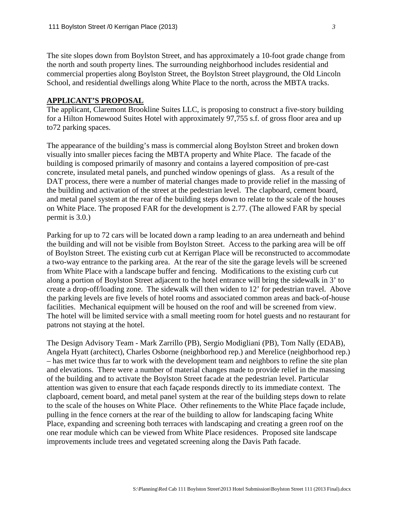The site slopes down from Boylston Street, and has approximately a 10-foot grade change from the north and south property lines. The surrounding neighborhood includes residential and commercial properties along Boylston Street, the Boylston Street playground, the Old Lincoln School, and residential dwellings along White Place to the north, across the MBTA tracks.

#### **APPLICANT'S PROPOSAL**

The applicant, Claremont Brookline Suites LLC, is proposing to construct a five-story building for a Hilton Homewood Suites Hotel with approximately 97,755 s.f. of gross floor area and up to72 parking spaces.

The appearance of the building's mass is commercial along Boylston Street and broken down visually into smaller pieces facing the MBTA property and White Place. The facade of the building is composed primarily of masonry and contains a layered composition of pre-cast concrete, insulated metal panels, and punched window openings of glass. As a result of the DAT process, there were a number of material changes made to provide relief in the massing of the building and activation of the street at the pedestrian level. The clapboard, cement board, and metal panel system at the rear of the building steps down to relate to the scale of the houses on White Place. The proposed FAR for the development is 2.77. (The allowed FAR by special permit is 3.0.)

Parking for up to 72 cars will be located down a ramp leading to an area underneath and behind the building and will not be visible from Boylston Street. Access to the parking area will be off of Boylston Street. The existing curb cut at Kerrigan Place will be reconstructed to accommodate a two-way entrance to the parking area. At the rear of the site the garage levels will be screened from White Place with a landscape buffer and fencing. Modifications to the existing curb cut along a portion of Boylston Street adjacent to the hotel entrance will bring the sidewalk in 3' to create a drop-off/loading zone. The sidewalk will then widen to 12' for pedestrian travel. Above the parking levels are five levels of hotel rooms and associated common areas and back-of-house facilities. Mechanical equipment will be housed on the roof and will be screened from view. The hotel will be limited service with a small meeting room for hotel guests and no restaurant for patrons not staying at the hotel.

The Design Advisory Team - Mark Zarrillo (PB), Sergio Modigliani (PB), Tom Nally (EDAB), Angela Hyatt (architect), Charles Osborne (neighborhood rep.) and Merelice (neighborhood rep.) – has met twice thus far to work with the development team and neighbors to refine the site plan and elevations. There were a number of material changes made to provide relief in the massing of the building and to activate the Boylston Street facade at the pedestrian level. Particular attention was given to ensure that each façade responds directly to its immediate context. The clapboard, cement board, and metal panel system at the rear of the building steps down to relate to the scale of the houses on White Place. Other refinements to the White Place façade include, pulling in the fence corners at the rear of the building to allow for landscaping facing White Place, expanding and screening both terraces with landscaping and creating a green roof on the one rear module which can be viewed from White Place residences. Proposed site landscape improvements include trees and vegetated screening along the Davis Path facade.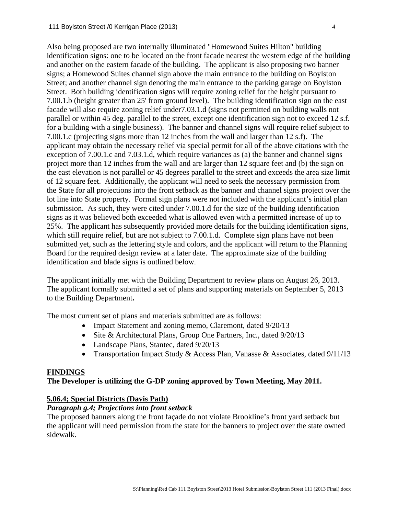Also being proposed are two internally illuminated "Homewood Suites Hilton" building identification signs: one to be located on the front facade nearest the western edge of the building and another on the eastern facade of the building. The applicant is also proposing two banner signs; a Homewood Suites channel sign above the main entrance to the building on Boylston Street; and another channel sign denoting the main entrance to the parking garage on Boylston Street. Both building identification signs will require zoning relief for the height pursuant to 7.00.1.b (height greater than 25' from ground level). The building identification sign on the east facade will also require zoning relief under7.03.1.d (signs not permitted on building walls not parallel or within 45 deg. parallel to the street, except one identification sign not to exceed 12 s.f. for a building with a single business). The banner and channel signs will require relief subject to 7.00.1.c (projecting signs more than 12 inches from the wall and larger than 12 s.f). The applicant may obtain the necessary relief via special permit for all of the above citations with the exception of 7.00.1.c and 7.03.1.d, which require variances as (a) the banner and channel signs project more than 12 inches from the wall and are larger than 12 square feet and (b) the sign on the east elevation is not parallel or 45 degrees parallel to the street and exceeds the area size limit of 12 square feet. Additionally, the applicant will need to seek the necessary permission from the State for all projections into the front setback as the banner and channel signs project over the lot line into State property. Formal sign plans were not included with the applicant's initial plan submission. As such, they were cited under 7.00.1.d for the size of the building identification signs as it was believed both exceeded what is allowed even with a permitted increase of up to 25%. The applicant has subsequently provided more details for the building identification signs, which still require relief, but are not subject to 7.00.1.d. Complete sign plans have not been submitted yet, such as the lettering style and colors, and the applicant will return to the Planning Board for the required design review at a later date. The approximate size of the building identification and blade signs is outlined below.

The applicant initially met with the Building Department to review plans on August 26, 2013. The applicant formally submitted a set of plans and supporting materials on September 5, 2013 to the Building Department**.** 

The most current set of plans and materials submitted are as follows:

- Impact Statement and zoning memo, Claremont, dated  $9/20/13$
- Site & Architectural Plans, Group One Partners, Inc., dated 9/20/13
- Landscape Plans, Stantec, dated  $9/20/13$
- Transportation Impact Study & Access Plan, Vanasse & Associates, dated 9/11/13

#### **FINDINGS**

### **The Developer is utilizing the G-DP zoning approved by Town Meeting, May 2011.**

#### **5.06.4; Special Districts (Davis Path)**

# *Paragraph g.4; Projections into front setback*

The proposed banners along the front façade do not violate Brookline's front yard setback but the applicant will need permission from the state for the banners to project over the state owned sidewalk.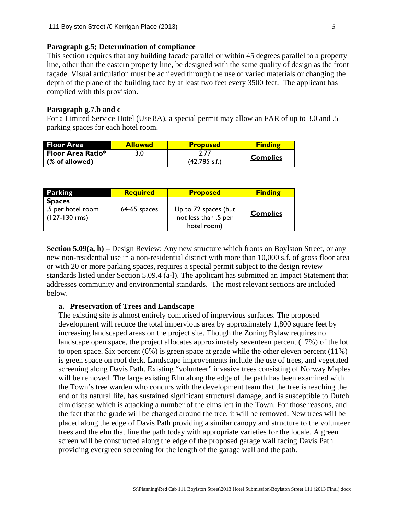#### **Paragraph g.5; Determination of compliance**

This section requires that any building facade parallel or within 45 degrees parallel to a property line, other than the eastern property line, be designed with the same quality of design as the front façade. Visual articulation must be achieved through the use of varied materials or changing the depth of the plane of the building face by at least two feet every 3500 feet. The applicant has complied with this provision.

#### **Paragraph g.7.b and c**

For a Limited Service Hotel (Use 8A), a special permit may allow an FAR of up to 3.0 and .5 parking spaces for each hotel room.

| <b>Floor Area</b>        | <b>Allowed</b> | <b>Proposed</b>         | <b>Finding</b>  |
|--------------------------|----------------|-------------------------|-----------------|
| <b>Floor Area Ratio*</b> |                |                         | <b>Complies</b> |
| (% of allowed)           |                | $(42,785 \text{ s.f.})$ |                 |

| <b>Parking</b>                                          | <b>Required</b> | <b>Proposed</b>                                             | <b>Finding</b>  |
|---------------------------------------------------------|-----------------|-------------------------------------------------------------|-----------------|
| <b>Spaces</b><br>.5 per hotel room<br>$(127 - 130$ rms) | $64-65$ spaces  | Up to 72 spaces (but<br>not less than .5 per<br>hotel room) | <b>Complies</b> |

**Section 5.09(a, h)** – Design Review: Any new structure which fronts on Boylston Street, or any new non-residential use in a non-residential district with more than 10,000 s.f. of gross floor area or with 20 or more parking spaces, requires a special permit subject to the design review standards listed under Section 5.09.4 (a-l). The applicant has submitted an Impact Statement that addresses community and environmental standards. The most relevant sections are included below.

#### **a. Preservation of Trees and Landscape**

The existing site is almost entirely comprised of impervious surfaces. The proposed development will reduce the total impervious area by approximately 1,800 square feet by increasing landscaped areas on the project site. Though the Zoning Bylaw requires no landscape open space, the project allocates approximately seventeen percent (17%) of the lot to open space. Six percent (6%) is green space at grade while the other eleven percent (11%) is green space on roof deck. Landscape improvements include the use of trees, and vegetated screening along Davis Path. Existing "volunteer" invasive trees consisting of Norway Maples will be removed. The large existing Elm along the edge of the path has been examined with the Town's tree warden who concurs with the development team that the tree is reaching the end of its natural life, has sustained significant structural damage, and is susceptible to Dutch elm disease which is attacking a number of the elms left in the Town. For those reasons, and the fact that the grade will be changed around the tree, it will be removed. New trees will be placed along the edge of Davis Path providing a similar canopy and structure to the volunteer trees and the elm that line the path today with appropriate varieties for the locale. A green screen will be constructed along the edge of the proposed garage wall facing Davis Path providing evergreen screening for the length of the garage wall and the path.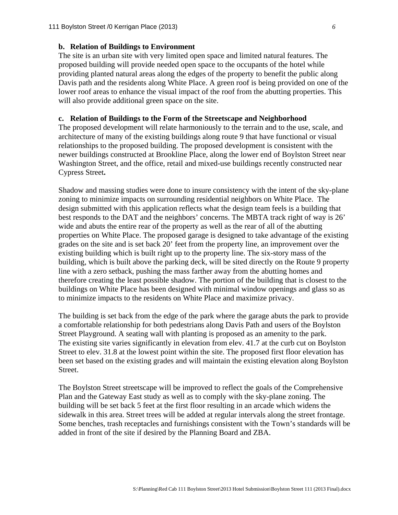#### **b. Relation of Buildings to Environment**

The site is an urban site with very limited open space and limited natural features. The proposed building will provide needed open space to the occupants of the hotel while providing planted natural areas along the edges of the property to benefit the public along Davis path and the residents along White Place. A green roof is being provided on one of the lower roof areas to enhance the visual impact of the roof from the abutting properties. This will also provide additional green space on the site.

#### **c. Relation of Buildings to the Form of the Streetscape and Neighborhood**

The proposed development will relate harmoniously to the terrain and to the use, scale, and architecture of many of the existing buildings along route 9 that have functional or visual relationships to the proposed building. The proposed development is consistent with the newer buildings constructed at Brookline Place, along the lower end of Boylston Street near Washington Street, and the office, retail and mixed-use buildings recently constructed near Cypress Street**.** 

Shadow and massing studies were done to insure consistency with the intent of the sky-plane zoning to minimize impacts on surrounding residential neighbors on White Place. The design submitted with this application reflects what the design team feels is a building that best responds to the DAT and the neighbors' concerns. The MBTA track right of way is 26' wide and abuts the entire rear of the property as well as the rear of all of the abutting properties on White Place. The proposed garage is designed to take advantage of the existing grades on the site and is set back 20' feet from the property line, an improvement over the existing building which is built right up to the property line. The six-story mass of the building, which is built above the parking deck, will be sited directly on the Route 9 property line with a zero setback, pushing the mass farther away from the abutting homes and therefore creating the least possible shadow. The portion of the building that is closest to the buildings on White Place has been designed with minimal window openings and glass so as to minimize impacts to the residents on White Place and maximize privacy.

The building is set back from the edge of the park where the garage abuts the park to provide a comfortable relationship for both pedestrians along Davis Path and users of the Boylston Street Playground. A seating wall with planting is proposed as an amenity to the park. The existing site varies significantly in elevation from elev. 41.7 at the curb cut on Boylston Street to elev. 31.8 at the lowest point within the site. The proposed first floor elevation has been set based on the existing grades and will maintain the existing elevation along Boylston Street.

The Boylston Street streetscape will be improved to reflect the goals of the Comprehensive Plan and the Gateway East study as well as to comply with the sky-plane zoning. The building will be set back 5 feet at the first floor resulting in an arcade which widens the sidewalk in this area. Street trees will be added at regular intervals along the street frontage. Some benches, trash receptacles and furnishings consistent with the Town's standards will be added in front of the site if desired by the Planning Board and ZBA.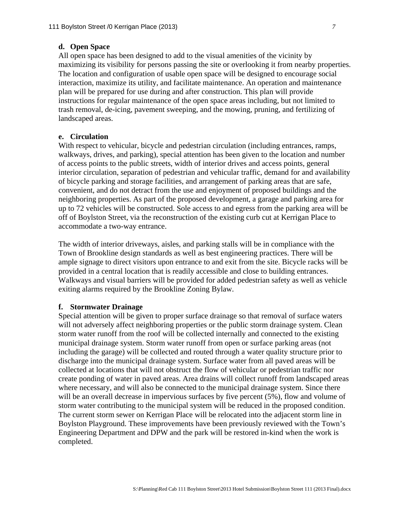#### **d. Open Space**

All open space has been designed to add to the visual amenities of the vicinity by maximizing its visibility for persons passing the site or overlooking it from nearby properties. The location and configuration of usable open space will be designed to encourage social interaction, maximize its utility, and facilitate maintenance. An operation and maintenance plan will be prepared for use during and after construction. This plan will provide instructions for regular maintenance of the open space areas including, but not limited to trash removal, de-icing, pavement sweeping, and the mowing, pruning, and fertilizing of landscaped areas.

#### **e. Circulation**

With respect to vehicular, bicycle and pedestrian circulation (including entrances, ramps, walkways, drives, and parking), special attention has been given to the location and number of access points to the public streets, width of interior drives and access points, general interior circulation, separation of pedestrian and vehicular traffic, demand for and availability of bicycle parking and storage facilities, and arrangement of parking areas that are safe, convenient, and do not detract from the use and enjoyment of proposed buildings and the neighboring properties. As part of the proposed development, a garage and parking area for up to 72 vehicles will be constructed. Sole access to and egress from the parking area will be off of Boylston Street, via the reconstruction of the existing curb cut at Kerrigan Place to accommodate a two-way entrance.

The width of interior driveways, aisles, and parking stalls will be in compliance with the Town of Brookline design standards as well as best engineering practices. There will be ample signage to direct visitors upon entrance to and exit from the site. Bicycle racks will be provided in a central location that is readily accessible and close to building entrances. Walkways and visual barriers will be provided for added pedestrian safety as well as vehicle exiting alarms required by the Brookline Zoning Bylaw.

#### **f. Stormwater Drainage**

Special attention will be given to proper surface drainage so that removal of surface waters will not adversely affect neighboring properties or the public storm drainage system. Clean storm water runoff from the roof will be collected internally and connected to the existing municipal drainage system. Storm water runoff from open or surface parking areas (not including the garage) will be collected and routed through a water quality structure prior to discharge into the municipal drainage system. Surface water from all paved areas will be collected at locations that will not obstruct the flow of vehicular or pedestrian traffic nor create ponding of water in paved areas. Area drains will collect runoff from landscaped areas where necessary, and will also be connected to the municipal drainage system. Since there will be an overall decrease in impervious surfaces by five percent  $(5\%)$ , flow and volume of storm water contributing to the municipal system will be reduced in the proposed condition. The current storm sewer on Kerrigan Place will be relocated into the adjacent storm line in Boylston Playground. These improvements have been previously reviewed with the Town's Engineering Department and DPW and the park will be restored in-kind when the work is completed.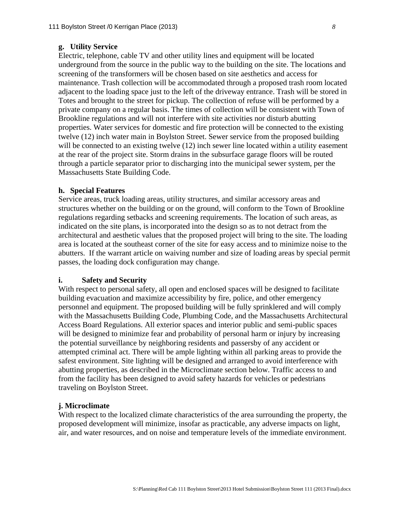#### **g. Utility Service**

Electric, telephone, cable TV and other utility lines and equipment will be located underground from the source in the public way to the building on the site. The locations and screening of the transformers will be chosen based on site aesthetics and access for maintenance. Trash collection will be accommodated through a proposed trash room located adjacent to the loading space just to the left of the driveway entrance. Trash will be stored in Totes and brought to the street for pickup. The collection of refuse will be performed by a private company on a regular basis. The times of collection will be consistent with Town of Brookline regulations and will not interfere with site activities nor disturb abutting properties. Water services for domestic and fire protection will be connected to the existing twelve (12) inch water main in Boylston Street. Sewer service from the proposed building will be connected to an existing twelve (12) inch sewer line located within a utility easement at the rear of the project site. Storm drains in the subsurface garage floors will be routed through a particle separator prior to discharging into the municipal sewer system, per the Massachusetts State Building Code.

#### **h. Special Features**

Service areas, truck loading areas, utility structures, and similar accessory areas and structures whether on the building or on the ground, will conform to the Town of Brookline regulations regarding setbacks and screening requirements. The location of such areas, as indicated on the site plans, is incorporated into the design so as to not detract from the architectural and aesthetic values that the proposed project will bring to the site. The loading area is located at the southeast corner of the site for easy access and to minimize noise to the abutters. If the warrant article on waiving number and size of loading areas by special permit passes, the loading dock configuration may change.

#### **i. Safety and Security**

With respect to personal safety, all open and enclosed spaces will be designed to facilitate building evacuation and maximize accessibility by fire, police, and other emergency personnel and equipment. The proposed building will be fully sprinklered and will comply with the Massachusetts Building Code, Plumbing Code, and the Massachusetts Architectural Access Board Regulations. All exterior spaces and interior public and semi-public spaces will be designed to minimize fear and probability of personal harm or injury by increasing the potential surveillance by neighboring residents and passersby of any accident or attempted criminal act. There will be ample lighting within all parking areas to provide the safest environment. Site lighting will be designed and arranged to avoid interference with abutting properties, as described in the Microclimate section below. Traffic access to and from the facility has been designed to avoid safety hazards for vehicles or pedestrians traveling on Boylston Street.

#### **j. Microclimate**

With respect to the localized climate characteristics of the area surrounding the property, the proposed development will minimize, insofar as practicable, any adverse impacts on light, air, and water resources, and on noise and temperature levels of the immediate environment.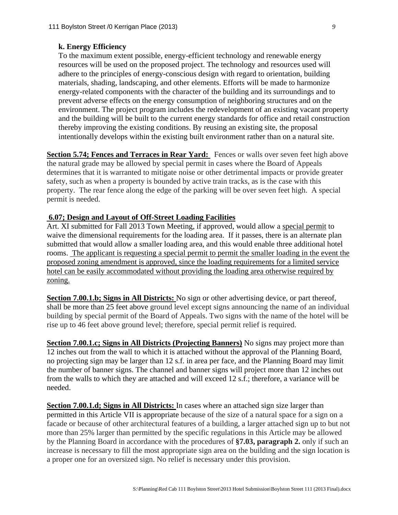# **k. Energy Efficiency**

To the maximum extent possible, energy-efficient technology and renewable energy resources will be used on the proposed project. The technology and resources used will adhere to the principles of energy-conscious design with regard to orientation, building materials, shading, landscaping, and other elements. Efforts will be made to harmonize energy-related components with the character of the building and its surroundings and to prevent adverse effects on the energy consumption of neighboring structures and on the environment. The project program includes the redevelopment of an existing vacant property and the building will be built to the current energy standards for office and retail construction thereby improving the existing conditions. By reusing an existing site, the proposal intentionally develops within the existing built environment rather than on a natural site.

**Section 5.74; Fences and Terraces in Rear Yard:** Fences or walls over seven feet high above the natural grade may be allowed by special permit in cases where the Board of Appeals determines that it is warranted to mitigate noise or other detrimental impacts or provide greater safety, such as when a property is bounded by active train tracks, as is the case with this property. The rear fence along the edge of the parking will be over seven feet high. A special permit is needed.

# **6.07; Design and Layout of Off-Street Loading Facilities**

Art. XI submitted for Fall 2013 Town Meeting, if approved, would allow a special permit to waive the dimensional requirements for the loading area. If it passes, there is an alternate plan submitted that would allow a smaller loading area, and this would enable three additional hotel rooms. The applicant is requesting a special permit to permit the smaller loading in the event the proposed zoning amendment is approved, since the loading requirements for a limited service hotel can be easily accommodated without providing the loading area otherwise required by zoning.

**Section 7.00.1.b; Signs in All Districts:** No sign or other advertising device, or part thereof, shall be more than 25 feet above ground level except signs announcing the name of an individual building by special permit of the Board of Appeals. Two signs with the name of the hotel will be rise up to 46 feet above ground level; therefore, special permit relief is required.

**Section 7.00.1.c; Signs in All Districts (Projecting Banners)** No signs may project more than 12 inches out from the wall to which it is attached without the approval of the Planning Board, no projecting sign may be larger than 12 s.f. in area per face, and the Planning Board may limit the number of banner signs. The channel and banner signs will project more than 12 inches out from the walls to which they are attached and will exceed 12 s.f.; therefore, a variance will be needed.

**Section 7.00.1.d; Signs in All Districts:** In cases where an attached sign size larger than permitted in this Article VII is appropriate because of the size of a natural space for a sign on a facade or because of other architectural features of a building, a larger attached sign up to but not more than 25% larger than permitted by the specific regulations in this Article may be allowed by the Planning Board in accordance with the procedures of **§7.03, paragraph 2.** only if such an increase is necessary to fill the most appropriate sign area on the building and the sign location is a proper one for an oversized sign. No relief is necessary under this provision.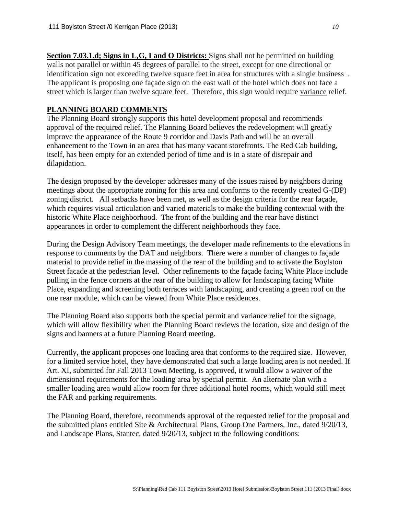**Section 7.03.1.d; Signs in L,G, I and O Districts:** Signs shall not be permitted on building walls not parallel or within 45 degrees of parallel to the street, except for one directional or identification sign not exceeding twelve square feet in area for structures with a single business . The applicant is proposing one façade sign on the east wall of the hotel which does not face a street which is larger than twelve square feet. Therefore, this sign would require variance relief.

# **PLANNING BOARD COMMENTS**

The Planning Board strongly supports this hotel development proposal and recommends approval of the required relief. The Planning Board believes the redevelopment will greatly improve the appearance of the Route 9 corridor and Davis Path and will be an overall enhancement to the Town in an area that has many vacant storefronts. The Red Cab building, itself, has been empty for an extended period of time and is in a state of disrepair and dilapidation.

The design proposed by the developer addresses many of the issues raised by neighbors during meetings about the appropriate zoning for this area and conforms to the recently created G-(DP) zoning district. All setbacks have been met, as well as the design criteria for the rear façade, which requires visual articulation and varied materials to make the building contextual with the historic White Place neighborhood. The front of the building and the rear have distinct appearances in order to complement the different neighborhoods they face.

During the Design Advisory Team meetings, the developer made refinements to the elevations in response to comments by the DAT and neighbors. There were a number of changes to façade material to provide relief in the massing of the rear of the building and to activate the Boylston Street facade at the pedestrian level. Other refinements to the façade facing White Place include pulling in the fence corners at the rear of the building to allow for landscaping facing White Place, expanding and screening both terraces with landscaping, and creating a green roof on the one rear module, which can be viewed from White Place residences.

The Planning Board also supports both the special permit and variance relief for the signage, which will allow flexibility when the Planning Board reviews the location, size and design of the signs and banners at a future Planning Board meeting.

Currently, the applicant proposes one loading area that conforms to the required size. However, for a limited service hotel, they have demonstrated that such a large loading area is not needed. If Art. XI, submitted for Fall 2013 Town Meeting, is approved, it would allow a waiver of the dimensional requirements for the loading area by special permit. An alternate plan with a smaller loading area would allow room for three additional hotel rooms, which would still meet the FAR and parking requirements.

The Planning Board, therefore, recommends approval of the requested relief for the proposal and the submitted plans entitled Site & Architectural Plans, Group One Partners, Inc., dated 9/20/13, and Landscape Plans, Stantec, dated 9/20/13, subject to the following conditions: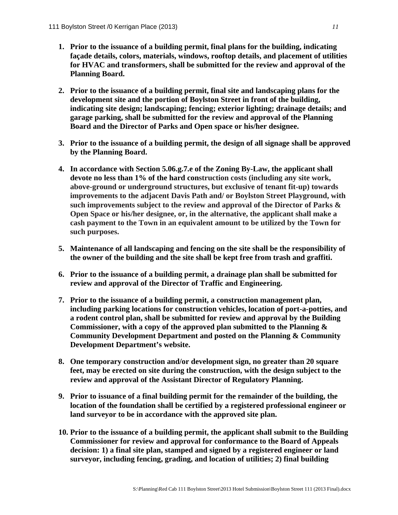- **1. Prior to the issuance of a building permit, final plans for the building, indicating façade details, colors, materials, windows, rooftop details, and placement of utilities for HVAC and transformers, shall be submitted for the review and approval of the Planning Board.**
- **2. Prior to the issuance of a building permit, final site and landscaping plans for the development site and the portion of Boylston Street in front of the building, indicating site design; landscaping; fencing; exterior lighting; drainage details; and garage parking, shall be submitted for the review and approval of the Planning Board and the Director of Parks and Open space or his/her designee.**
- **3. Prior to the issuance of a building permit, the design of all signage shall be approved by the Planning Board.**
- **4. In accordance with Section 5.06.g.7.e of the Zoning By-Law, the applicant shall devote no less than 1% of the hard construction costs (including any site work, above-ground or underground structures, but exclusive of tenant fit-up) towards improvements to the adjacent Davis Path and/ or Boylston Street Playground, with such improvements subject to the review and approval of the Director of Parks & Open Space or his/her designee, or, in the alternative, the applicant shall make a cash payment to the Town in an equivalent amount to be utilized by the Town for such purposes.**
- **5. Maintenance of all landscaping and fencing on the site shall be the responsibility of the owner of the building and the site shall be kept free from trash and graffiti.**
- **6. Prior to the issuance of a building permit, a drainage plan shall be submitted for review and approval of the Director of Traffic and Engineering.**
- **7. Prior to the issuance of a building permit, a construction management plan, including parking locations for construction vehicles, location of port-a-potties, and a rodent control plan, shall be submitted for review and approval by the Building Commissioner, with a copy of the approved plan submitted to the Planning & Community Development Department and posted on the Planning & Community Development Department's website.**
- **8. One temporary construction and/or development sign, no greater than 20 square feet, may be erected on site during the construction, with the design subject to the review and approval of the Assistant Director of Regulatory Planning.**
- **9. Prior to issuance of a final building permit for the remainder of the building, the location of the foundation shall be certified by a registered professional engineer or land surveyor to be in accordance with the approved site plan.**
- **10. Prior to the issuance of a building permit, the applicant shall submit to the Building Commissioner for review and approval for conformance to the Board of Appeals decision: 1) a final site plan, stamped and signed by a registered engineer or land surveyor, including fencing, grading, and location of utilities; 2) final building**